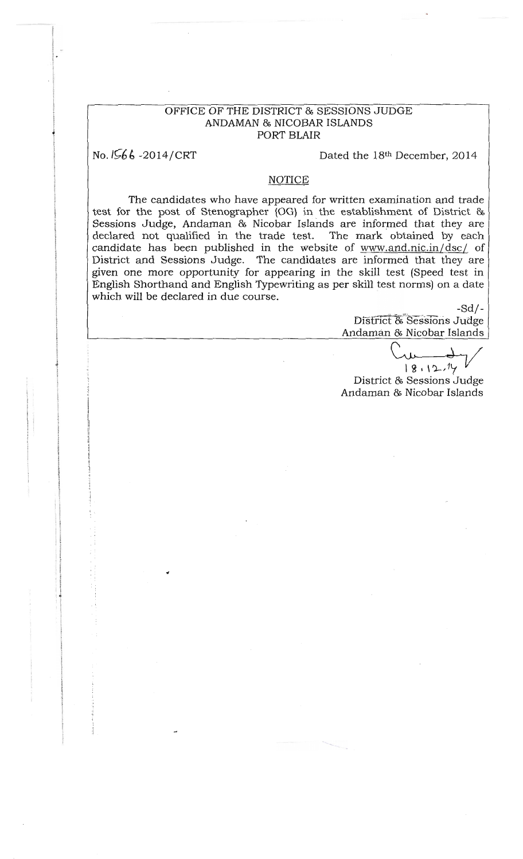## OFFICE OF THE DISTRICT & SESSIONS JUDGE ANDAMAN & NICOBAR ISLANDS PORT BLAIR

No. 1566-2014/CRT

Dated the 18th December, 2014

## **NOTICE**

The candidates who have appeared for written examination and trade test for the post of Stenographer (OG) in the establishment of District & Sessions Judge, Andaman & Nicobar Islands are informed that they are declared not qualified in the trade test. The mark obtained by each candidate has been published in the website of www.and.nic.in/dsc/ of District and Sessions Judge. The candidates are informed that they are given one more opportunity for appearing in the skill test (Speed test in English Shorthand and English Typewriting as per skill test norms) on a date which will be declared in due course.

> $-Sd/-$ District & Sessions Judge Andaman & Nicobar Islands

 $18.12.14$ 

District & Sessions Judge Andaman & Nicobar Islands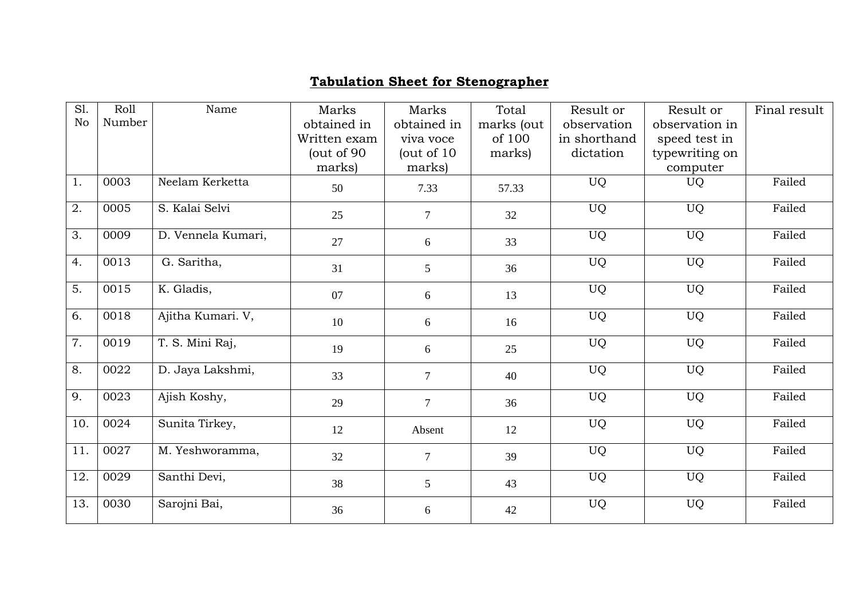## **Tabulation Sheet for Stenographer**

| S1.              | Roll   | Name               | Marks        | Marks          | Total      | Result or    | Result or      | Final result |
|------------------|--------|--------------------|--------------|----------------|------------|--------------|----------------|--------------|
| No               | Number |                    | obtained in  | obtained in    | marks (out | observation  | observation in |              |
|                  |        |                    | Written exam | viva voce      | of 100     | in shorthand | speed test in  |              |
|                  |        |                    | (out of 90)  | (out of $10$   | marks)     | dictation    | typewriting on |              |
|                  |        |                    | marks)       | marks)         |            |              | computer       |              |
| 1.               | 0003   | Neelam Kerketta    | 50           | 7.33           | 57.33      | <b>UQ</b>    | <b>UQ</b>      | Failed       |
| 2.               | 0005   | S. Kalai Selvi     | 25           | $\tau$         | 32         | <b>UQ</b>    | <b>UQ</b>      | Failed       |
| 3.               | 0009   | D. Vennela Kumari, | 27           | 6              | 33         | <b>UQ</b>    | <b>UQ</b>      | Failed       |
| 4.               | 0013   | G. Saritha,        | 31           | 5              | 36         | <b>UQ</b>    | <b>UQ</b>      | Failed       |
| 5.               | 0015   | K. Gladis,         | 07           | 6              | 13         | <b>UQ</b>    | <b>UQ</b>      | Failed       |
| 6.               | 0018   | Ajitha Kumari. V,  | 10           | 6              | 16         | <b>UQ</b>    | <b>UQ</b>      | Failed       |
| $\overline{7}$ . | 0019   | T. S. Mini Raj,    | 19           | 6              | 25         | <b>UQ</b>    | <b>UQ</b>      | Failed       |
| 8.               | 0022   | D. Jaya Lakshmi,   | 33           | $\overline{7}$ | 40         | <b>UQ</b>    | <b>UQ</b>      | Failed       |
| 9.               | 0023   | Ajish Koshy,       | 29           | $\overline{7}$ | 36         | <b>UQ</b>    | <b>UQ</b>      | Failed       |
| 10.              | 0024   | Sunita Tirkey,     | 12           | Absent         | 12         | <b>UQ</b>    | <b>UQ</b>      | Failed       |
| 11.              | 0027   | M. Yeshworamma,    | 32           | $\overline{7}$ | 39         | <b>UQ</b>    | <b>UQ</b>      | Failed       |
| 12.              | 0029   | Santhi Devi,       | 38           | 5              | 43         | <b>UQ</b>    | <b>UQ</b>      | Failed       |
| 13.              | 0030   | Sarojni Bai,       | 36           | 6              | 42         | UQ           | <b>UQ</b>      | Failed       |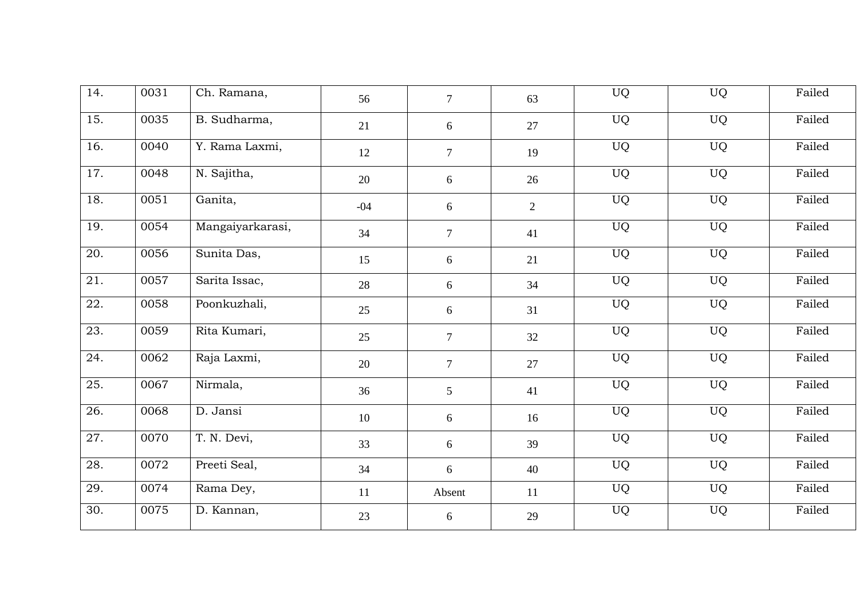| 14. | 0031 | Ch. Ramana,      | 56    | $\overline{7}$ | 63 | <b>UQ</b> | <b>UQ</b> | Failed |
|-----|------|------------------|-------|----------------|----|-----------|-----------|--------|
| 15. | 0035 | B. Sudharma,     | 21    | 6              | 27 | <b>UQ</b> | UQ        | Failed |
| 16. | 0040 | Y. Rama Laxmi,   | 12    | $\overline{7}$ | 19 | <b>UQ</b> | <b>UQ</b> | Failed |
| 17. | 0048 | N. Sajitha,      | 20    | 6              | 26 | <b>UQ</b> | <b>UQ</b> | Failed |
| 18. | 0051 | Ganita,          | $-04$ | 6              | 2  | UQ        | <b>UQ</b> | Failed |
| 19. | 0054 | Mangaiyarkarasi, | 34    | $\tau$         | 41 | <b>UQ</b> | <b>UQ</b> | Failed |
| 20. | 0056 | Sunita Das,      | 15    | 6              | 21 | <b>UQ</b> | <b>UQ</b> | Failed |
| 21. | 0057 | Sarita Issac,    | 28    | 6              | 34 | UQ        | UQ        | Failed |
| 22. | 0058 | Poonkuzhali,     | 25    | 6              | 31 | <b>UQ</b> | <b>UQ</b> | Failed |
| 23. | 0059 | Rita Kumari,     | 25    | $\tau$         | 32 | UQ        | <b>UQ</b> | Failed |
| 24. | 0062 | Raja Laxmi,      | 20    | $\overline{7}$ | 27 | <b>UQ</b> | <b>UQ</b> | Failed |
| 25. | 0067 | Nirmala,         | 36    | $\mathfrak{S}$ | 41 | <b>UQ</b> | <b>UQ</b> | Failed |
| 26. | 0068 | D. Jansi         | 10    | 6              | 16 | <b>UQ</b> | <b>UQ</b> | Failed |
| 27. | 0070 | T. N. Devi,      | 33    | 6              | 39 | UQ        | <b>UQ</b> | Failed |
| 28. | 0072 | Preeti Seal,     | 34    | 6              | 40 | UQ        | <b>UQ</b> | Failed |
| 29. | 0074 | Rama Dey,        | 11    | Absent         | 11 | UQ        | <b>UQ</b> | Failed |
| 30. | 0075 | D. Kannan,       | 23    | 6              | 29 | UQ        | <b>UQ</b> | Failed |
|     |      |                  |       |                |    |           |           |        |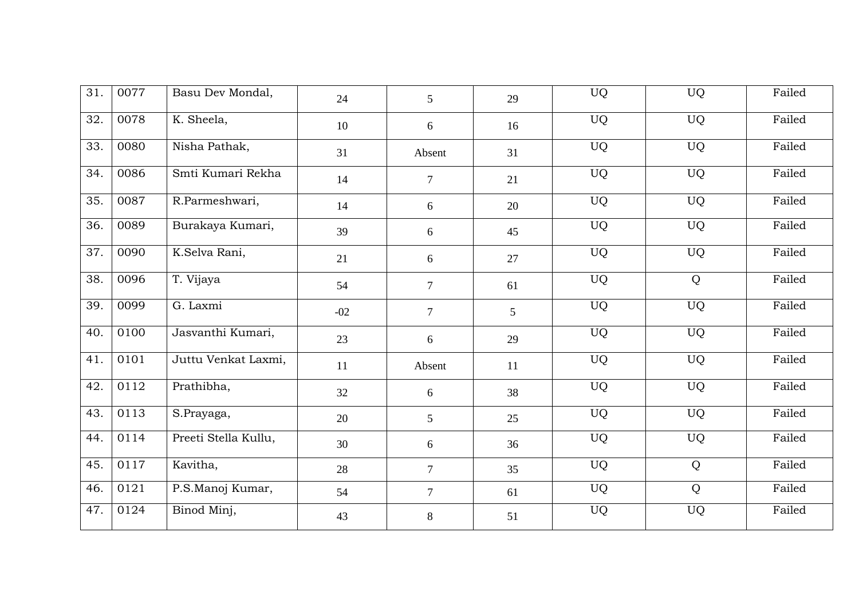| 31. | 0077 | Basu Dev Mondal,     | 24    | 5                | 29             | UQ        | <b>UQ</b> | Failed |
|-----|------|----------------------|-------|------------------|----------------|-----------|-----------|--------|
| 32. | 0078 | K. Sheela,           | 10    | 6                | 16             | UQ        | UQ        | Failed |
| 33. | 0080 | Nisha Pathak,        | 31    | Absent           | 31             | <b>UQ</b> | <b>UQ</b> | Failed |
| 34. | 0086 | Smti Kumari Rekha    | 14    | $\overline{7}$   | 21             | <b>UQ</b> | <b>UQ</b> | Failed |
| 35. | 0087 | R.Parmeshwari,       | 14    | 6                | 20             | <b>UQ</b> | <b>UQ</b> | Failed |
| 36. | 0089 | Burakaya Kumari,     | 39    | $6\,$            | 45             | <b>UQ</b> | <b>UQ</b> | Failed |
| 37. | 0090 | K.Selva Rani,        | 21    | $\sqrt{6}$       | 27             | <b>UQ</b> | <b>UQ</b> | Failed |
| 38. | 0096 | T. Vijaya            | 54    | $\boldsymbol{7}$ | 61             | <b>UQ</b> | Q         | Failed |
| 39. | 0099 | G. Laxmi             | $-02$ | $\overline{7}$   | 5 <sup>5</sup> | <b>UQ</b> | <b>UQ</b> | Failed |
| 40. | 0100 | Jasvanthi Kumari,    | 23    | 6                | 29             | <b>UQ</b> | <b>UQ</b> | Failed |
| 41. | 0101 | Juttu Venkat Laxmi,  | 11    | Absent           | 11             | <b>UQ</b> | <b>UQ</b> | Failed |
| 42. | 0112 | Prathibha,           | 32    | $6\,$            | 38             | <b>UQ</b> | <b>UQ</b> | Failed |
| 43. | 0113 | S.Prayaga,           | 20    | 5                | 25             | <b>UQ</b> | <b>UQ</b> | Failed |
| 44. | 0114 | Preeti Stella Kullu, | 30    | 6                | 36             | <b>UQ</b> | <b>UQ</b> | Failed |
| 45. | 0117 | Kavitha,             | 28    | $\overline{7}$   | 35             | <b>UQ</b> | Q         | Failed |
| 46. | 0121 | P.S.Manoj Kumar,     | 54    | 7                | 61             | <b>UQ</b> | Q         | Failed |
| 47. | 0124 | Binod Minj,          | 43    | 8                | 51             | UQ        | UQ        | Failed |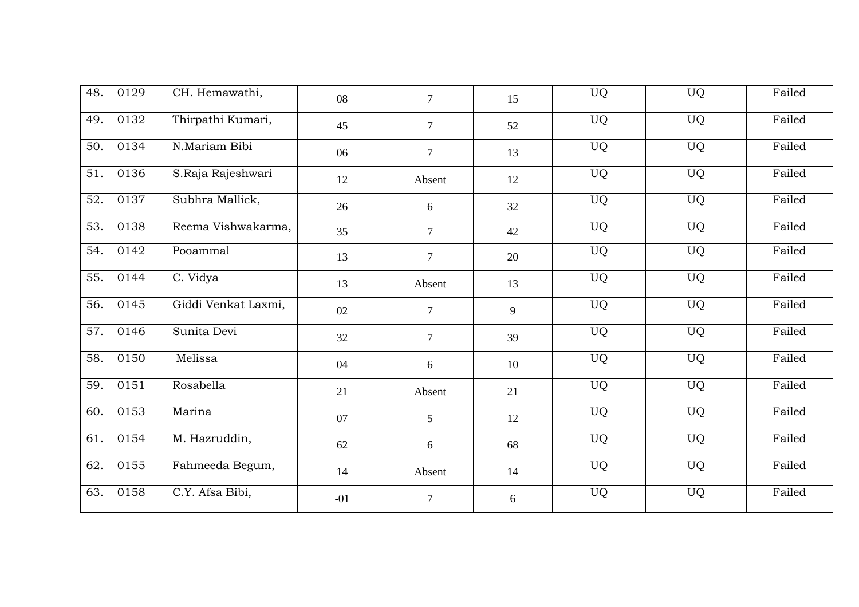| 48. | 0129 | CH. Hemawathi,      | 08    | $\overline{7}$ | 15 | <b>UQ</b> | <b>UQ</b> | Failed |
|-----|------|---------------------|-------|----------------|----|-----------|-----------|--------|
| 49. | 0132 | Thirpathi Kumari,   | 45    | $\overline{7}$ | 52 | UQ        | UQ        | Failed |
| 50. | 0134 | N.Mariam Bibi       | 06    | $\overline{7}$ | 13 | <b>UQ</b> | <b>UQ</b> | Failed |
| 51. | 0136 | S.Raja Rajeshwari   | 12    | Absent         | 12 | <b>UQ</b> | <b>UQ</b> | Failed |
| 52. | 0137 | Subhra Mallick,     | 26    | $6\,$          | 32 | UQ        | UQ        | Failed |
| 53. | 0138 | Reema Vishwakarma,  | 35    | $\tau$         | 42 | <b>UQ</b> | <b>UQ</b> | Failed |
| 54. | 0142 | Pooammal            | 13    | $\overline{7}$ | 20 | <b>UQ</b> | <b>UQ</b> | Failed |
| 55. | 0144 | C. Vidya            | 13    | Absent         | 13 | UQ        | <b>UQ</b> | Failed |
| 56. | 0145 | Giddi Venkat Laxmi, | 02    | $\overline{7}$ | 9  | <b>UQ</b> | <b>UQ</b> | Failed |
| 57. | 0146 | Sunita Devi         | 32    | $\tau$         | 39 | <b>UQ</b> | <b>UQ</b> | Failed |
| 58. | 0150 | Melissa             | 04    | 6              | 10 | <b>UQ</b> | <b>UQ</b> | Failed |
| 59. | 0151 | Rosabella           | 21    | Absent         | 21 | <b>UQ</b> | <b>UQ</b> | Failed |
| 60. | 0153 | Marina              | 07    | 5              | 12 | <b>UQ</b> | <b>UQ</b> | Failed |
| 61. | 0154 | M. Hazruddin,       | 62    | 6              | 68 | <b>UQ</b> | <b>UQ</b> | Failed |
| 62. | 0155 | Fahmeeda Begum,     | 14    | Absent         | 14 | <b>UQ</b> | <b>UQ</b> | Failed |
| 63. | 0158 | C.Y. Afsa Bibi,     | $-01$ | $\overline{7}$ | 6  | UQ        | <b>UQ</b> | Failed |